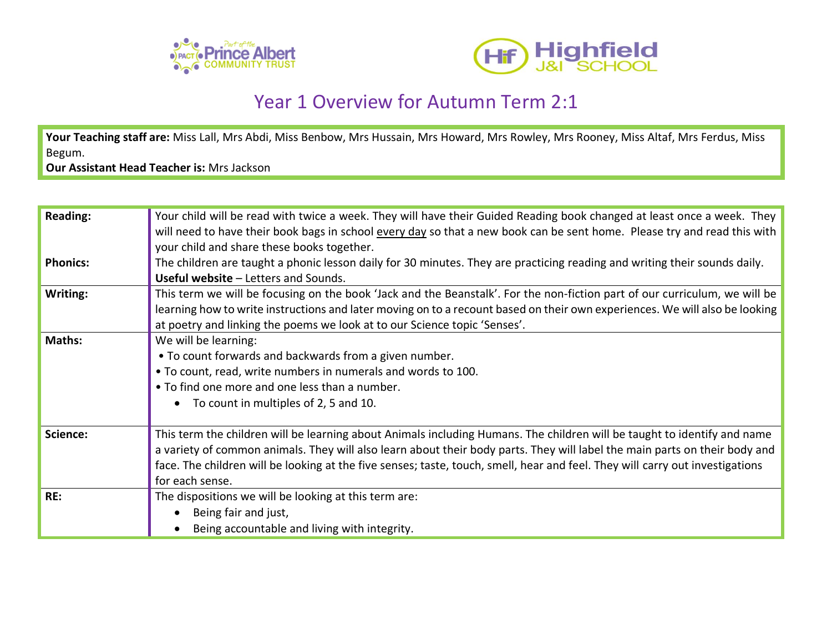



## Year 1 Overview for Autumn Term 2:1

Your Teaching staff are: Miss Lall, Mrs Abdi, Miss Benbow, Mrs Hussain, Mrs Howard, Mrs Rowley, Mrs Rooney, Miss Altaf, Mrs Ferdus, Miss Begum.

**Our Assistant Head Teacher is:** Mrs Jackson

| <b>Reading:</b> | Your child will be read with twice a week. They will have their Guided Reading book changed at least once a week. They        |
|-----------------|-------------------------------------------------------------------------------------------------------------------------------|
|                 | will need to have their book bags in school every day so that a new book can be sent home. Please try and read this with      |
|                 | your child and share these books together.                                                                                    |
| <b>Phonics:</b> | The children are taught a phonic lesson daily for 30 minutes. They are practicing reading and writing their sounds daily.     |
|                 | <b>Useful website - Letters and Sounds.</b>                                                                                   |
| Writing:        | This term we will be focusing on the book 'Jack and the Beanstalk'. For the non-fiction part of our curriculum, we will be    |
|                 | learning how to write instructions and later moving on to a recount based on their own experiences. We will also be looking   |
|                 | at poetry and linking the poems we look at to our Science topic 'Senses'.                                                     |
| <b>Maths:</b>   | We will be learning:                                                                                                          |
|                 | • To count forwards and backwards from a given number.                                                                        |
|                 | . To count, read, write numbers in numerals and words to 100.                                                                 |
|                 | • To find one more and one less than a number.                                                                                |
|                 | To count in multiples of 2, 5 and 10.                                                                                         |
|                 |                                                                                                                               |
| Science:        | This term the children will be learning about Animals including Humans. The children will be taught to identify and name      |
|                 | a variety of common animals. They will also learn about their body parts. They will label the main parts on their body and    |
|                 | face. The children will be looking at the five senses; taste, touch, smell, hear and feel. They will carry out investigations |
|                 | for each sense.                                                                                                               |
| RE:             | The dispositions we will be looking at this term are:                                                                         |
|                 | Being fair and just,                                                                                                          |
|                 | Being accountable and living with integrity.                                                                                  |